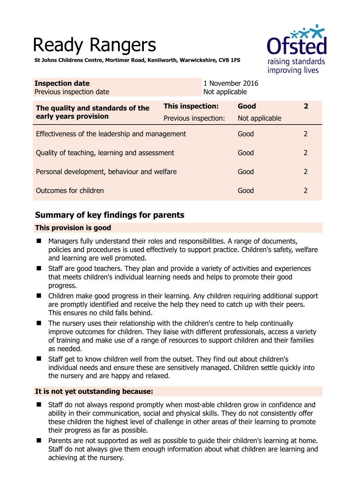# Ready Rangers



**St Johns Childrens Centre, Mortimer Road, Kenilworth, Warwickshire, CV8 1FS** 

| <b>Inspection date</b><br>Previous inspection date        |                         | 1 November 2016<br>Not applicable |                |
|-----------------------------------------------------------|-------------------------|-----------------------------------|----------------|
| The quality and standards of the<br>early years provision | <b>This inspection:</b> | Good                              | $\mathbf{z}$   |
|                                                           | Previous inspection:    | Not applicable                    |                |
| Effectiveness of the leadership and management            |                         | Good                              | 2              |
| Quality of teaching, learning and assessment              |                         | Good                              | $\overline{2}$ |
| Personal development, behaviour and welfare               |                         | Good                              | $\overline{2}$ |
| Outcomes for children                                     |                         | Good                              | 2              |

# **Summary of key findings for parents**

## **This provision is good**

- Managers fully understand their roles and responsibilities. A range of documents, policies and procedures is used effectively to support practice. Children's safety, welfare and learning are well promoted.
- Staff are good teachers. They plan and provide a variety of activities and experiences that meets children's individual learning needs and helps to promote their good progress.
- Children make good progress in their learning. Any children requiring additional support are promptly identified and receive the help they need to catch up with their peers. This ensures no child falls behind.
- $\blacksquare$  The nursery uses their relationship with the children's centre to help continually improve outcomes for children. They liaise with different professionals, access a variety of training and make use of a range of resources to support children and their families as needed.
- Staff get to know children well from the outset. They find out about children's individual needs and ensure these are sensitively managed. Children settle quickly into the nursery and are happy and relaxed.

## **It is not yet outstanding because:**

- Staff do not always respond promptly when most-able children grow in confidence and ability in their communication, social and physical skills. They do not consistently offer these children the highest level of challenge in other areas of their learning to promote their progress as far as possible.
- Parents are not supported as well as possible to guide their children's learning at home. Staff do not always give them enough information about what children are learning and achieving at the nursery.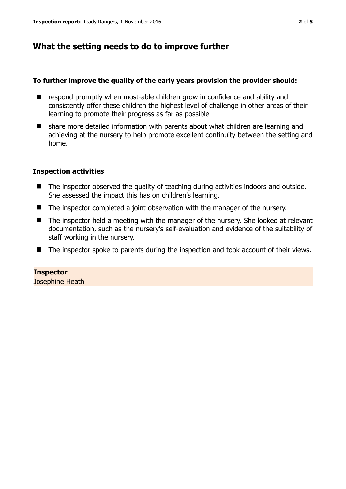# **What the setting needs to do to improve further**

#### **To further improve the quality of the early years provision the provider should:**

- respond promptly when most-able children grow in confidence and ability and consistently offer these children the highest level of challenge in other areas of their learning to promote their progress as far as possible
- share more detailed information with parents about what children are learning and achieving at the nursery to help promote excellent continuity between the setting and home.

## **Inspection activities**

- The inspector observed the quality of teaching during activities indoors and outside. She assessed the impact this has on children's learning.
- The inspector completed a joint observation with the manager of the nursery.
- The inspector held a meeting with the manager of the nursery. She looked at relevant documentation, such as the nursery's self-evaluation and evidence of the suitability of staff working in the nursery.
- The inspector spoke to parents during the inspection and took account of their views.

#### **Inspector**

Josephine Heath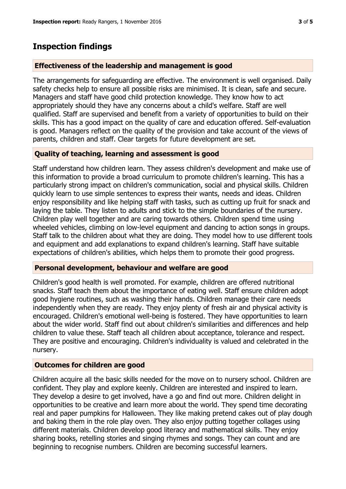#### **Effectiveness of the leadership and management is good**

The arrangements for safeguarding are effective. The environment is well organised. Daily safety checks help to ensure all possible risks are minimised. It is clean, safe and secure. Managers and staff have good child protection knowledge. They know how to act appropriately should they have any concerns about a child's welfare. Staff are well qualified. Staff are supervised and benefit from a variety of opportunities to build on their skills. This has a good impact on the quality of care and education offered. Self-evaluation is good. Managers reflect on the quality of the provision and take account of the views of parents, children and staff. Clear targets for future development are set.

#### **Quality of teaching, learning and assessment is good**

Staff understand how children learn. They assess children's development and make use of this information to provide a broad curriculum to promote children's learning. This has a particularly strong impact on children's communication, social and physical skills. Children quickly learn to use simple sentences to express their wants, needs and ideas. Children enjoy responsibility and like helping staff with tasks, such as cutting up fruit for snack and laying the table. They listen to adults and stick to the simple boundaries of the nursery. Children play well together and are caring towards others. Children spend time using wheeled vehicles, climbing on low-level equipment and dancing to action songs in groups. Staff talk to the children about what they are doing. They model how to use different tools and equipment and add explanations to expand children's learning. Staff have suitable expectations of children's abilities, which helps them to promote their good progress.

#### **Personal development, behaviour and welfare are good**

Children's good health is well promoted. For example, children are offered nutritional snacks. Staff teach them about the importance of eating well. Staff ensure children adopt good hygiene routines, such as washing their hands. Children manage their care needs independently when they are ready. They enjoy plenty of fresh air and physical activity is encouraged. Children's emotional well-being is fostered. They have opportunities to learn about the wider world. Staff find out about children's similarities and differences and help children to value these. Staff teach all children about acceptance, tolerance and respect. They are positive and encouraging. Children's individuality is valued and celebrated in the nursery.

#### **Outcomes for children are good**

Children acquire all the basic skills needed for the move on to nursery school. Children are confident. They play and explore keenly. Children are interested and inspired to learn. They develop a desire to get involved, have a go and find out more. Children delight in opportunities to be creative and learn more about the world. They spend time decorating real and paper pumpkins for Halloween. They like making pretend cakes out of play dough and baking them in the role play oven. They also enjoy putting together collages using different materials. Children develop good literacy and mathematical skills. They enjoy sharing books, retelling stories and singing rhymes and songs. They can count and are beginning to recognise numbers. Children are becoming successful learners.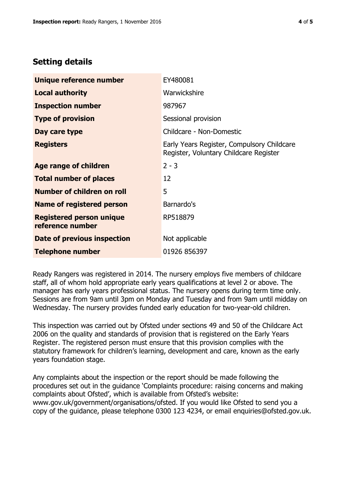## **Setting details**

| Unique reference number                             | EY480081                                                                             |  |
|-----------------------------------------------------|--------------------------------------------------------------------------------------|--|
| <b>Local authority</b>                              | Warwickshire                                                                         |  |
| <b>Inspection number</b>                            | 987967                                                                               |  |
| <b>Type of provision</b>                            | Sessional provision                                                                  |  |
| Day care type                                       | Childcare - Non-Domestic                                                             |  |
| <b>Registers</b>                                    | Early Years Register, Compulsory Childcare<br>Register, Voluntary Childcare Register |  |
| Age range of children                               | $2 - 3$                                                                              |  |
| <b>Total number of places</b>                       | 12                                                                                   |  |
| Number of children on roll                          | 5                                                                                    |  |
| Name of registered person                           | Barnardo's                                                                           |  |
| <b>Registered person unique</b><br>reference number | RP518879                                                                             |  |
| Date of previous inspection                         | Not applicable                                                                       |  |
| <b>Telephone number</b>                             | 01926 856397                                                                         |  |

Ready Rangers was registered in 2014. The nursery employs five members of childcare staff, all of whom hold appropriate early years qualifications at level 2 or above. The manager has early years professional status. The nursery opens during term time only. Sessions are from 9am until 3pm on Monday and Tuesday and from 9am until midday on Wednesday. The nursery provides funded early education for two-year-old children.

This inspection was carried out by Ofsted under sections 49 and 50 of the Childcare Act 2006 on the quality and standards of provision that is registered on the Early Years Register. The registered person must ensure that this provision complies with the statutory framework for children's learning, development and care, known as the early years foundation stage.

Any complaints about the inspection or the report should be made following the procedures set out in the guidance 'Complaints procedure: raising concerns and making complaints about Ofsted', which is available from Ofsted's website: www.gov.uk/government/organisations/ofsted. If you would like Ofsted to send you a copy of the guidance, please telephone 0300 123 4234, or email enquiries@ofsted.gov.uk.